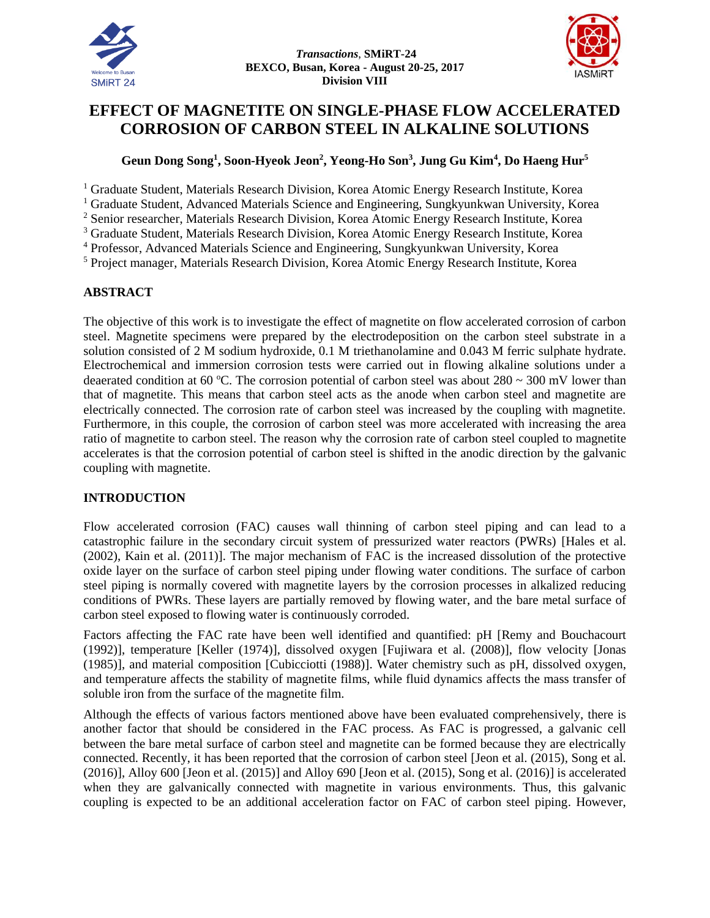



# **EFFECT OF MAGNETITE ON SINGLE-PHASE FLOW ACCELERATED CORROSION OF CARBON STEEL IN ALKALINE SOLUTIONS**

## **Geun Dong Song<sup>1</sup> , Soon-Hyeok Jeon<sup>2</sup> , Yeong-Ho Son<sup>3</sup> , Jung Gu Kim<sup>4</sup> , Do Haeng Hur<sup>5</sup>**

<sup>1</sup> Graduate Student, Materials Research Division, Korea Atomic Energy Research Institute, Korea

<sup>1</sup> Graduate Student, Advanced Materials Science and Engineering, Sungkyunkwan University, Korea

<sup>2</sup> Senior researcher, Materials Research Division, Korea Atomic Energy Research Institute, Korea

<sup>3</sup> Graduate Student, Materials Research Division, Korea Atomic Energy Research Institute, Korea

<sup>4</sup> Professor, Advanced Materials Science and Engineering, Sungkyunkwan University, Korea

<sup>5</sup> Project manager, Materials Research Division, Korea Atomic Energy Research Institute, Korea

### **ABSTRACT**

The objective of this work is to investigate the effect of magnetite on flow accelerated corrosion of carbon steel. Magnetite specimens were prepared by the electrodeposition on the carbon steel substrate in a solution consisted of 2 M sodium hydroxide, 0.1 M triethanolamine and 0.043 M ferric sulphate hydrate. Electrochemical and immersion corrosion tests were carried out in flowing alkaline solutions under a deaerated condition at 60 °C. The corrosion potential of carbon steel was about  $280 \sim 300$  mV lower than that of magnetite. This means that carbon steel acts as the anode when carbon steel and magnetite are electrically connected. The corrosion rate of carbon steel was increased by the coupling with magnetite. Furthermore, in this couple, the corrosion of carbon steel was more accelerated with increasing the area ratio of magnetite to carbon steel. The reason why the corrosion rate of carbon steel coupled to magnetite accelerates is that the corrosion potential of carbon steel is shifted in the anodic direction by the galvanic coupling with magnetite.

### **INTRODUCTION**

Flow accelerated corrosion (FAC) causes wall thinning of carbon steel piping and can lead to a catastrophic failure in the secondary circuit system of pressurized water reactors (PWRs) [Hales et al. (2002), Kain et al. (2011)]. The major mechanism of FAC is the increased dissolution of the protective oxide layer on the surface of carbon steel piping under flowing water conditions. The surface of carbon steel piping is normally covered with magnetite layers by the corrosion processes in alkalized reducing conditions of PWRs. These layers are partially removed by flowing water, and the bare metal surface of carbon steel exposed to flowing water is continuously corroded.

Factors affecting the FAC rate have been well identified and quantified: pH [Remy and Bouchacourt (1992)], temperature [Keller (1974)], dissolved oxygen [Fujiwara et al. (2008)], flow velocity [Jonas (1985)], and material composition [Cubicciotti (1988)]. Water chemistry such as pH, dissolved oxygen, and temperature affects the stability of magnetite films, while fluid dynamics affects the mass transfer of soluble iron from the surface of the magnetite film.

Although the effects of various factors mentioned above have been evaluated comprehensively, there is another factor that should be considered in the FAC process. As FAC is progressed, a galvanic cell between the bare metal surface of carbon steel and magnetite can be formed because they are electrically connected. Recently, it has been reported that the corrosion of carbon steel [Jeon et al. (2015), Song et al. (2016)], Alloy 600 [Jeon et al. (2015)] and Alloy 690 [Jeon et al. (2015), Song et al. (2016)] is accelerated when they are galvanically connected with magnetite in various environments. Thus, this galvanic coupling is expected to be an additional acceleration factor on FAC of carbon steel piping. However,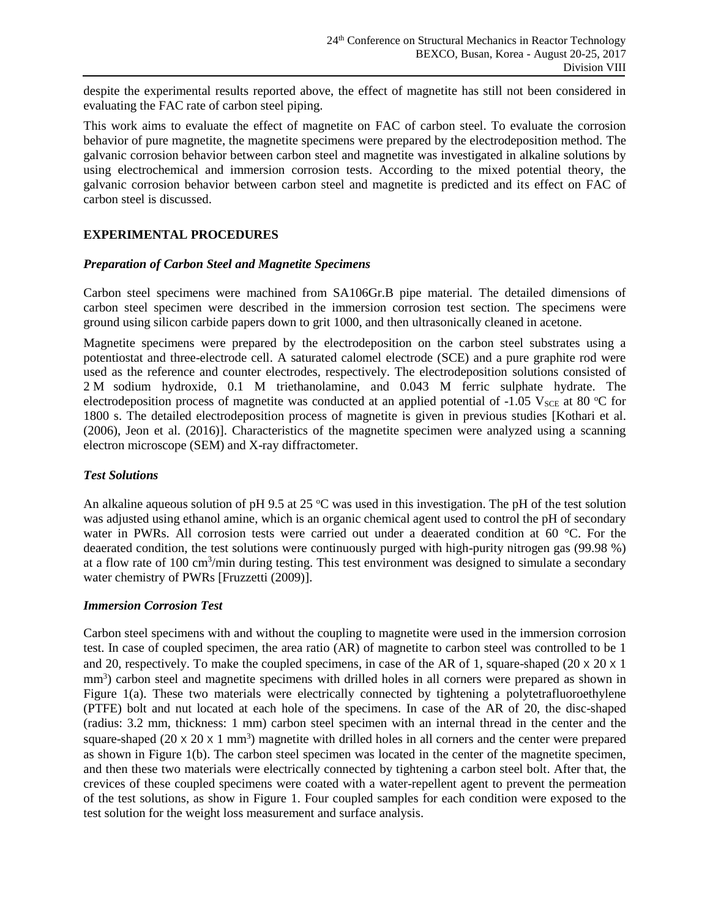despite the experimental results reported above, the effect of magnetite has still not been considered in evaluating the FAC rate of carbon steel piping.

This work aims to evaluate the effect of magnetite on FAC of carbon steel. To evaluate the corrosion behavior of pure magnetite, the magnetite specimens were prepared by the electrodeposition method. The galvanic corrosion behavior between carbon steel and magnetite was investigated in alkaline solutions by using electrochemical and immersion corrosion tests. According to the mixed potential theory, the galvanic corrosion behavior between carbon steel and magnetite is predicted and its effect on FAC of carbon steel is discussed.

### **EXPERIMENTAL PROCEDURES**

#### *Preparation of Carbon Steel and Magnetite Specimens*

Carbon steel specimens were machined from SA106Gr.B pipe material. The detailed dimensions of carbon steel specimen were described in the immersion corrosion test section. The specimens were ground using silicon carbide papers down to grit 1000, and then ultrasonically cleaned in acetone.

Magnetite specimens were prepared by the electrodeposition on the carbon steel substrates using a potentiostat and three-electrode cell. A saturated calomel electrode (SCE) and a pure graphite rod were used as the reference and counter electrodes, respectively. The electrodeposition solutions consisted of 2 M sodium hydroxide, 0.1 M triethanolamine, and 0.043 M ferric sulphate hydrate. The electrodeposition process of magnetite was conducted at an applied potential of -1.05  $V_{SCE}$  at 80 °C for 1800 s. The detailed electrodeposition process of magnetite is given in previous studies [Kothari et al. (2006), Jeon et al. (2016)]. Characteristics of the magnetite specimen were analyzed using a scanning electron microscope (SEM) and X-ray diffractometer.

### *Test Solutions*

An alkaline aqueous solution of pH 9.5 at 25  $^{\circ}$ C was used in this investigation. The pH of the test solution was adjusted using ethanol amine, which is an organic chemical agent used to control the pH of secondary water in PWRs. All corrosion tests were carried out under a deaerated condition at 60 °C. For the deaerated condition, the test solutions were continuously purged with high-purity nitrogen gas (99.98 %) at a flow rate of 100 cm<sup>3</sup>/min during testing. This test environment was designed to simulate a secondary water chemistry of PWRs [Fruzzetti (2009)].

### *Immersion Corrosion Test*

Carbon steel specimens with and without the coupling to magnetite were used in the immersion corrosion test. In case of coupled specimen, the area ratio (AR) of magnetite to carbon steel was controlled to be 1 and 20, respectively. To make the coupled specimens, in case of the AR of 1, square-shaped  $(20 \times 20 \times 1$ mm<sup>3</sup>) carbon steel and magnetite specimens with drilled holes in all corners were prepared as shown in Figure 1(a). These two materials were electrically connected by tightening a polytetrafluoroethylene (PTFE) bolt and nut located at each hole of the specimens. In case of the AR of 20, the disc-shaped (radius: 3.2 mm, thickness: 1 mm) carbon steel specimen with an internal thread in the center and the square-shaped  $(20 \times 20 \times 1 \text{ mm}^3)$  magnetite with drilled holes in all corners and the center were prepared as shown in Figure 1(b). The carbon steel specimen was located in the center of the magnetite specimen, and then these two materials were electrically connected by tightening a carbon steel bolt. After that, the crevices of these coupled specimens were coated with a water-repellent agent to prevent the permeation of the test solutions, as show in Figure 1. Four coupled samples for each condition were exposed to the test solution for the weight loss measurement and surface analysis.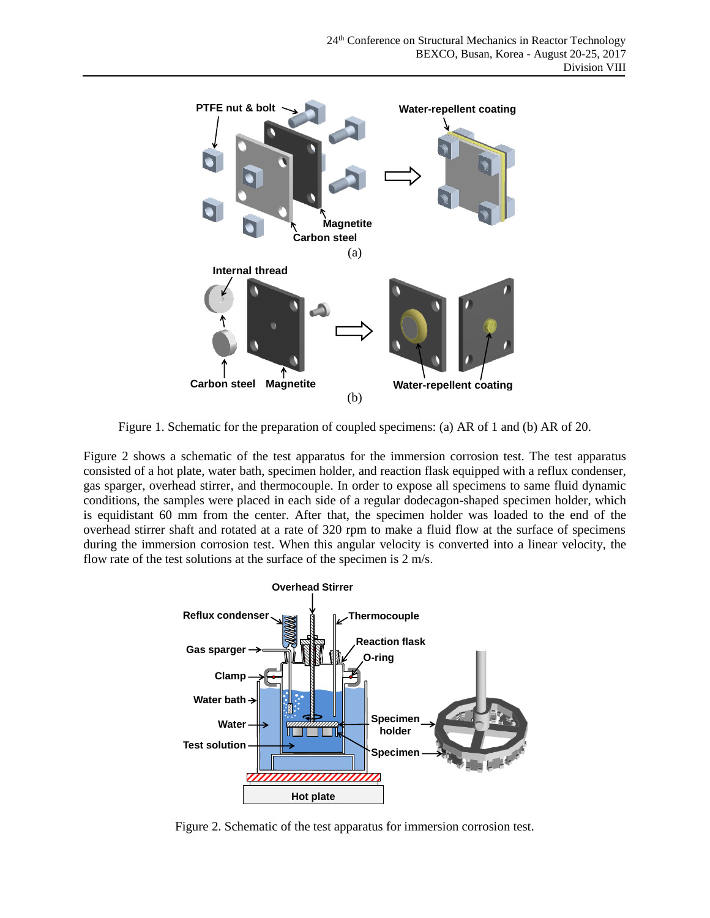

Figure 1. Schematic for the preparation of coupled specimens: (a) AR of 1 and (b) AR of 20.

Figure 2 shows a schematic of the test apparatus for the immersion corrosion test. The test apparatus consisted of a hot plate, water bath, specimen holder, and reaction flask equipped with a reflux condenser, gas sparger, overhead stirrer, and thermocouple. In order to expose all specimens to same fluid dynamic conditions, the samples were placed in each side of a regular dodecagon-shaped specimen holder, which is equidistant 60 mm from the center. After that, the specimen holder was loaded to the end of the overhead stirrer shaft and rotated at a rate of 320 rpm to make a fluid flow at the surface of specimens during the immersion corrosion test. When this angular velocity is converted into a linear velocity, the flow rate of the test solutions at the surface of the specimen is 2 m/s.



Figure 2. Schematic of the test apparatus for immersion corrosion test.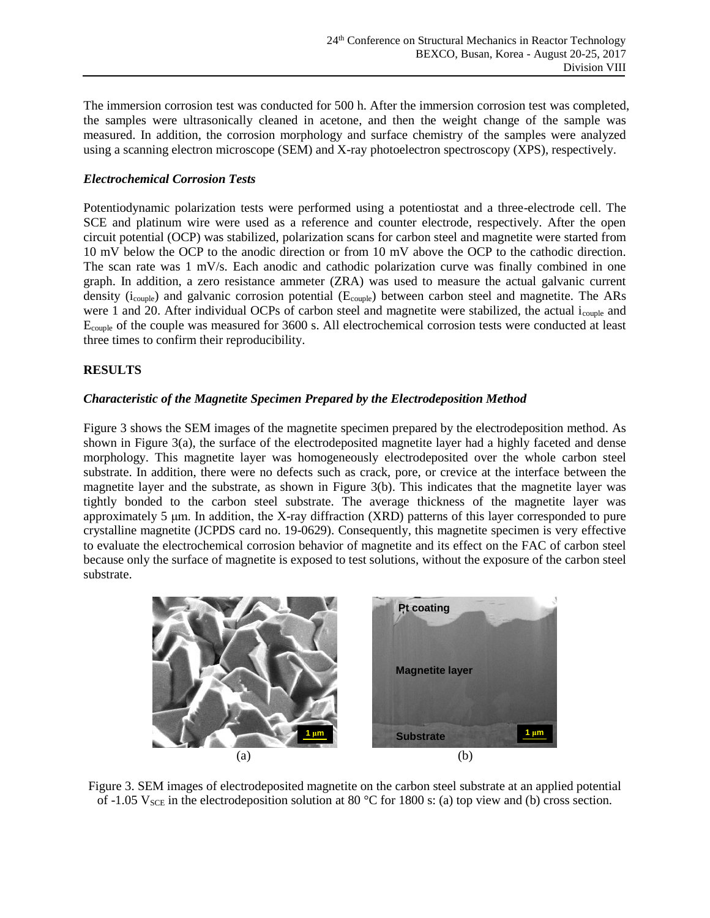The immersion corrosion test was conducted for 500 h. After the immersion corrosion test was completed, the samples were ultrasonically cleaned in acetone, and then the weight change of the sample was measured. In addition, the corrosion morphology and surface chemistry of the samples were analyzed using a scanning electron microscope (SEM) and X-ray photoelectron spectroscopy (XPS), respectively.

### *Electrochemical Corrosion Tests*

Potentiodynamic polarization tests were performed using a potentiostat and a three-electrode cell. The SCE and platinum wire were used as a reference and counter electrode, respectively. After the open circuit potential (OCP) was stabilized, polarization scans for carbon steel and magnetite were started from 10 mV below the OCP to the anodic direction or from 10 mV above the OCP to the cathodic direction. The scan rate was 1 mV/s. Each anodic and cathodic polarization curve was finally combined in one graph. In addition, a zero resistance ammeter (ZRA) was used to measure the actual galvanic current density ( $i_{\text{couple}}$ ) and galvanic corrosion potential ( $E_{\text{couple}}$ ) between carbon steel and magnetite. The ARs were 1 and 20. After individual OCPs of carbon steel and magnetite were stabilized, the actual icouple and Ecouple of the couple was measured for 3600 s. All electrochemical corrosion tests were conducted at least three times to confirm their reproducibility.

### **RESULTS**

### *Characteristic of the Magnetite Specimen Prepared by the Electrodeposition Method*

Figure 3 shows the SEM images of the magnetite specimen prepared by the electrodeposition method. As shown in Figure 3(a), the surface of the electrodeposited magnetite layer had a highly faceted and dense morphology. This magnetite layer was homogeneously electrodeposited over the whole carbon steel substrate. In addition, there were no defects such as crack, pore, or crevice at the interface between the magnetite layer and the substrate, as shown in Figure 3(b). This indicates that the magnetite layer was tightly bonded to the carbon steel substrate. The average thickness of the magnetite layer was approximately 5 μm. In addition, the X-ray diffraction (XRD) patterns of this layer corresponded to pure crystalline magnetite (JCPDS card no. 19-0629). Consequently, this magnetite specimen is very effective to evaluate the electrochemical corrosion behavior of magnetite and its effect on the FAC of carbon steel because only the surface of magnetite is exposed to test solutions, without the exposure of the carbon steel substrate.



Figure 3. SEM images of electrodeposited magnetite on the carbon steel substrate at an applied potential of -1.05  $V_{SCE}$  in the electrodeposition solution at 80 °C for 1800 s: (a) top view and (b) cross section.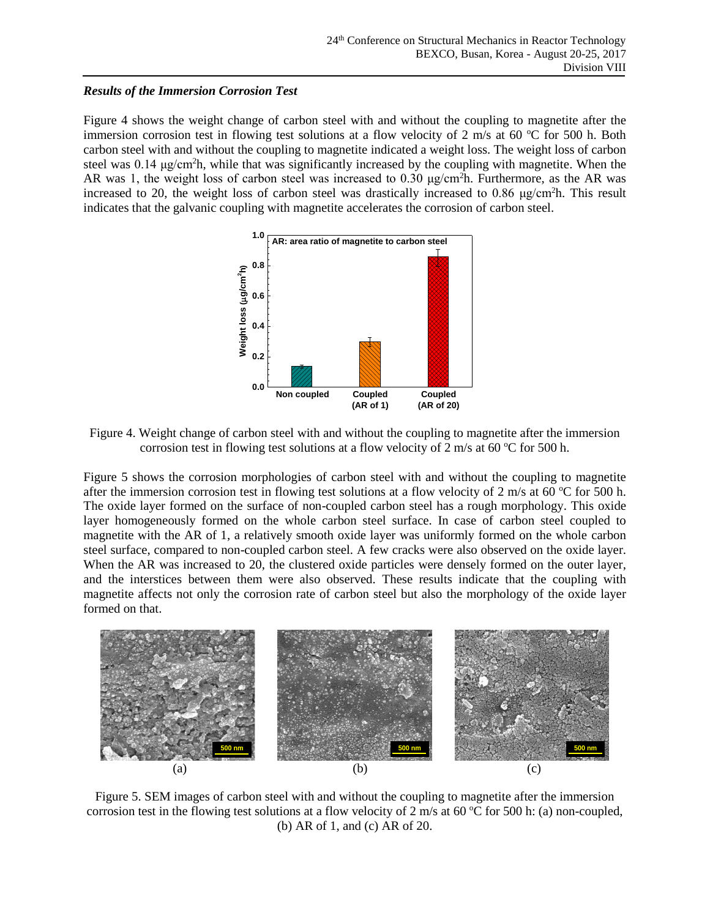### *Results of the Immersion Corrosion Test*

Figure 4 shows the weight change of carbon steel with and without the coupling to magnetite after the immersion corrosion test in flowing test solutions at a flow velocity of 2 m/s at 60  $^{\circ}$ C for 500 h. Both carbon steel with and without the coupling to magnetite indicated a weight loss. The weight loss of carbon steel was  $0.14 \mu g/cm<sup>2</sup>$ h, while that was significantly increased by the coupling with magnetite. When the AR was 1, the weight loss of carbon steel was increased to  $0.30 \mu g/cm^2 h$ . Furthermore, as the AR was increased to 20, the weight loss of carbon steel was drastically increased to 0.86  $\mu$ g/cm<sup>2</sup>h. This result indicates that the galvanic coupling with magnetite accelerates the corrosion of carbon steel.



Figure 4. Weight change of carbon steel with and without the coupling to magnetite after the immersion corrosion test in flowing test solutions at a flow velocity of 2 m/s at 60  $\degree$ C for 500 h.

Figure 5 shows the corrosion morphologies of carbon steel with and without the coupling to magnetite after the immersion corrosion test in flowing test solutions at a flow velocity of 2 m/s at 60  $\degree$ C for 500 h. The oxide layer formed on the surface of non-coupled carbon steel has a rough morphology. This oxide layer homogeneously formed on the whole carbon steel surface. In case of carbon steel coupled to magnetite with the AR of 1, a relatively smooth oxide layer was uniformly formed on the whole carbon steel surface, compared to non-coupled carbon steel. A few cracks were also observed on the oxide layer. When the AR was increased to 20, the clustered oxide particles were densely formed on the outer layer, and the interstices between them were also observed. These results indicate that the coupling with magnetite affects not only the corrosion rate of carbon steel but also the morphology of the oxide layer formed on that.



Figure 5. SEM images of carbon steel with and without the coupling to magnetite after the immersion corrosion test in the flowing test solutions at a flow velocity of 2 m/s at 60 °C for 500 h: (a) non-coupled, (b) AR of 1, and (c) AR of 20.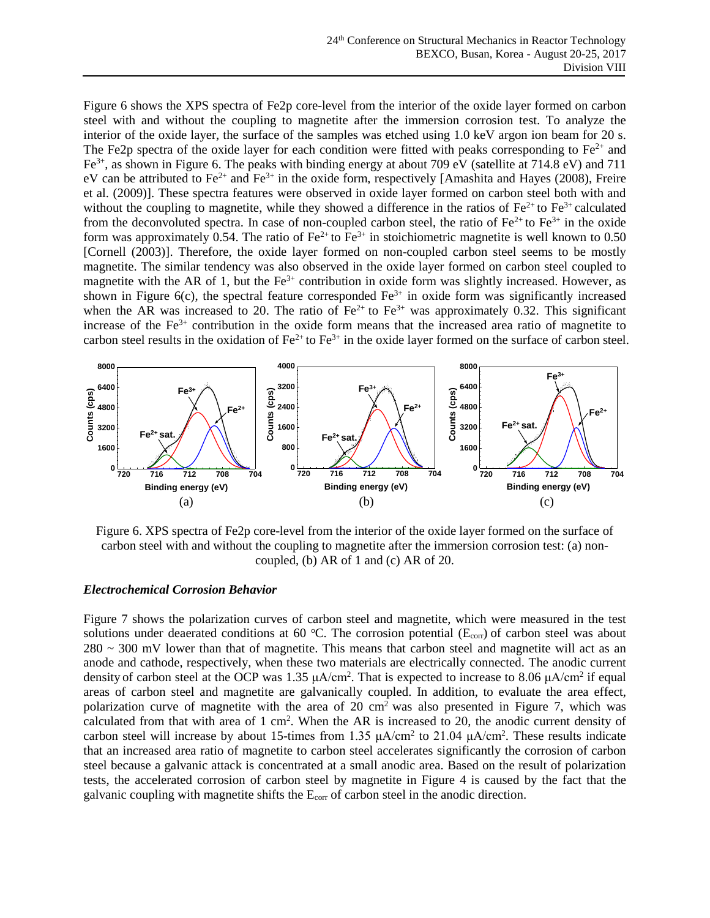Figure 6 shows the XPS spectra of Fe2p core-level from the interior of the oxide layer formed on carbon steel with and without the coupling to magnetite after the immersion corrosion test. To analyze the interior of the oxide layer, the surface of the samples was etched using 1.0 keV argon ion beam for 20 s. The Fe2p spectra of the oxide layer for each condition were fitted with peaks corresponding to  $Fe^{2+}$  and Fe<sup>3+</sup>, as shown in Figure 6. The peaks with binding energy at about 709 eV (satellite at 714.8 eV) and 711 eV can be attributed to  $Fe^{2+}$  and  $Fe^{3+}$  in the oxide form, respectively [Amashita and Hayes (2008), Freire et al. (2009)]. These spectra features were observed in oxide layer formed on carbon steel both with and without the coupling to magnetite, while they showed a difference in the ratios of  $Fe^{2+}$  to  $Fe^{3+}$  calculated from the deconvoluted spectra. In case of non-coupled carbon steel, the ratio of  $Fe^{2+}$  to  $Fe^{3+}$  in the oxide form was approximately 0.54. The ratio of  $Fe^{2+}$  to  $Fe^{3+}$  in stoichiometric magnetite is well known to 0.50 [Cornell (2003)]. Therefore, the oxide layer formed on non-coupled carbon steel seems to be mostly magnetite. The similar tendency was also observed in the oxide layer formed on carbon steel coupled to magnetite with the AR of 1, but the  $Fe<sup>3+</sup>$  contribution in oxide form was slightly increased. However, as shown in Figure 6(c), the spectral feature corresponded  $Fe^{3+}$  in oxide form was significantly increased when the AR was increased to 20. The ratio of  $Fe^{2+}$  to  $Fe^{3+}$  was approximately 0.32. This significant increase of the  $Fe<sup>3+</sup>$  contribution in the oxide form means that the increased area ratio of magnetite to carbon steel results in the oxidation of  $Fe^{2+}$  to  $Fe^{3+}$  in the oxide layer formed on the surface of carbon steel.



Figure 6. XPS spectra of Fe2p core-level from the interior of the oxide layer formed on the surface of carbon steel with and without the coupling to magnetite after the immersion corrosion test: (a) noncoupled, (b) AR of 1 and (c) AR of 20.

#### *Electrochemical Corrosion Behavior*

Figure 7 shows the polarization curves of carbon steel and magnetite, which were measured in the test solutions under deaerated conditions at 60  $^{\circ}$ C. The corrosion potential (E<sub>corr</sub>) of carbon steel was about  $280 \sim 300$  mV lower than that of magnetite. This means that carbon steel and magnetite will act as an anode and cathode, respectively, when these two materials are electrically connected. The anodic current density of carbon steel at the OCP was 1.35  $\mu$ A/cm<sup>2</sup>. That is expected to increase to 8.06  $\mu$ A/cm<sup>2</sup> if equal areas of carbon steel and magnetite are galvanically coupled. In addition, to evaluate the area effect, polarization curve of magnetite with the area of  $20 \text{ cm}^2$  was also presented in Figure 7, which was calculated from that with area of  $1 \text{ cm}^2$ . When the AR is increased to 20, the anodic current density of carbon steel will increase by about 15-times from 1.35  $\mu A/cm^2$  to 21.04  $\mu A/cm^2$ . These results indicate that an increased area ratio of magnetite to carbon steel accelerates significantly the corrosion of carbon steel because a galvanic attack is concentrated at a small anodic area. Based on the result of polarization tests, the accelerated corrosion of carbon steel by magnetite in Figure 4 is caused by the fact that the galvanic coupling with magnetite shifts the  $E_{\text{corr}}$  of carbon steel in the anodic direction.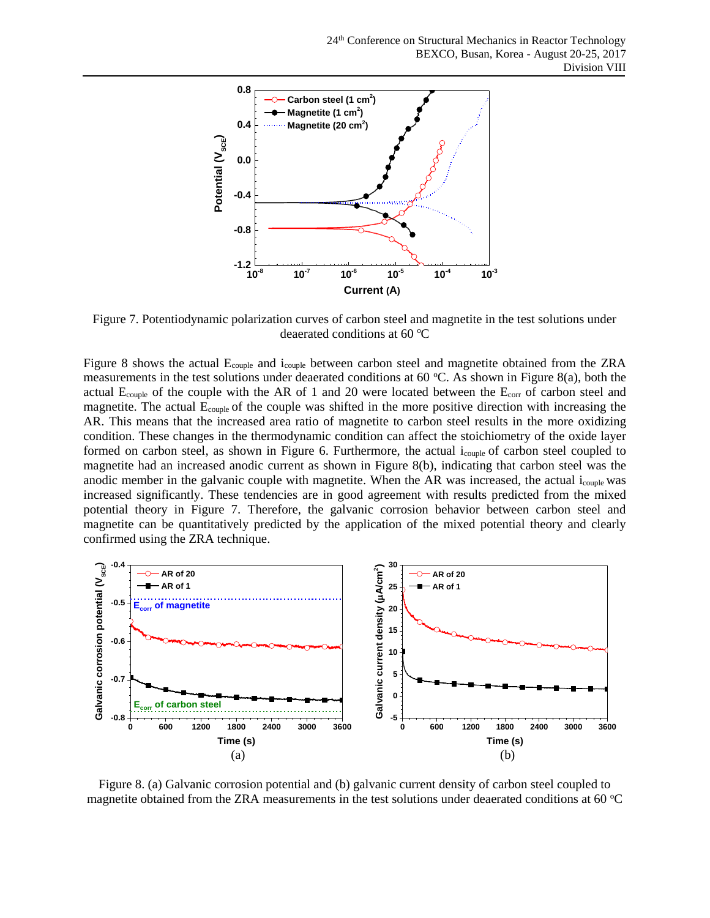

Figure 7. Potentiodynamic polarization curves of carbon steel and magnetite in the test solutions under deaerated conditions at 60 $\mathrm{^{\circ}C}$ 

Figure 8 shows the actual Ecouple and icouple between carbon steel and magnetite obtained from the ZRA measurements in the test solutions under deaerated conditions at 60 °C. As shown in Figure 8(a), both the actual  $E_{\text{couple}}$  of the couple with the AR of 1 and 20 were located between the  $E_{\text{corr}}$  of carbon steel and magnetite. The actual E<sub>couple</sub> of the couple was shifted in the more positive direction with increasing the AR. This means that the increased area ratio of magnetite to carbon steel results in the more oxidizing condition. These changes in the thermodynamic condition can affect the stoichiometry of the oxide layer formed on carbon steel, as shown in Figure 6. Furthermore, the actual i<sub>couple</sub> of carbon steel coupled to magnetite had an increased anodic current as shown in Figure 8(b), indicating that carbon steel was the anodic member in the galvanic couple with magnetite. When the AR was increased, the actual icouple was increased significantly. These tendencies are in good agreement with results predicted from the mixed potential theory in Figure 7. Therefore, the galvanic corrosion behavior between carbon steel and magnetite can be quantitatively predicted by the application of the mixed potential theory and clearly confirmed using the ZRA technique.



Figure 8. (a) Galvanic corrosion potential and (b) galvanic current density of carbon steel coupled to magnetite obtained from the ZRA measurements in the test solutions under deaerated conditions at 60  $^{\circ}$ C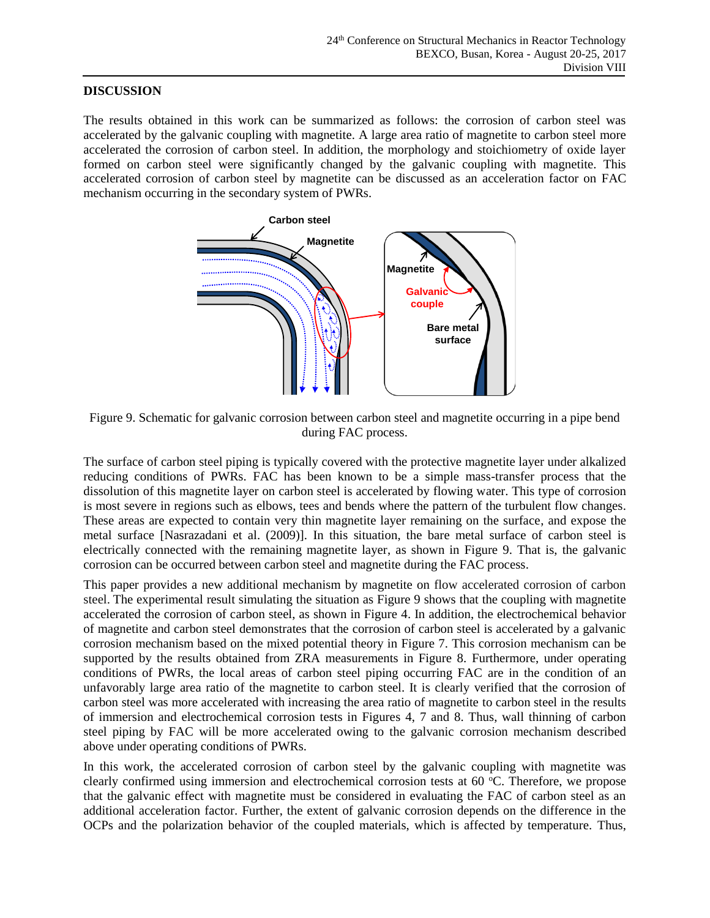#### **DISCUSSION**

The results obtained in this work can be summarized as follows: the corrosion of carbon steel was accelerated by the galvanic coupling with magnetite. A large area ratio of magnetite to carbon steel more accelerated the corrosion of carbon steel. In addition, the morphology and stoichiometry of oxide layer formed on carbon steel were significantly changed by the galvanic coupling with magnetite. This accelerated corrosion of carbon steel by magnetite can be discussed as an acceleration factor on FAC mechanism occurring in the secondary system of PWRs.



Figure 9. Schematic for galvanic corrosion between carbon steel and magnetite occurring in a pipe bend during FAC process.

The surface of carbon steel piping is typically covered with the protective magnetite layer under alkalized reducing conditions of PWRs. FAC has been known to be a simple mass-transfer process that the dissolution of this magnetite layer on carbon steel is accelerated by flowing water. This type of corrosion is most severe in regions such as elbows, tees and bends where the pattern of the turbulent flow changes. These areas are expected to contain very thin magnetite layer remaining on the surface, and expose the metal surface [Nasrazadani et al. (2009)]. In this situation, the bare metal surface of carbon steel is electrically connected with the remaining magnetite layer, as shown in Figure 9. That is, the galvanic corrosion can be occurred between carbon steel and magnetite during the FAC process.

This paper provides a new additional mechanism by magnetite on flow accelerated corrosion of carbon steel. The experimental result simulating the situation as Figure 9 shows that the coupling with magnetite accelerated the corrosion of carbon steel, as shown in Figure 4. In addition, the electrochemical behavior of magnetite and carbon steel demonstrates that the corrosion of carbon steel is accelerated by a galvanic corrosion mechanism based on the mixed potential theory in Figure 7. This corrosion mechanism can be supported by the results obtained from ZRA measurements in Figure 8. Furthermore, under operating conditions of PWRs, the local areas of carbon steel piping occurring FAC are in the condition of an unfavorably large area ratio of the magnetite to carbon steel. It is clearly verified that the corrosion of carbon steel was more accelerated with increasing the area ratio of magnetite to carbon steel in the results of immersion and electrochemical corrosion tests in Figures 4, 7 and 8. Thus, wall thinning of carbon steel piping by FAC will be more accelerated owing to the galvanic corrosion mechanism described above under operating conditions of PWRs.

In this work, the accelerated corrosion of carbon steel by the galvanic coupling with magnetite was clearly confirmed using immersion and electrochemical corrosion tests at 60 °C. Therefore, we propose that the galvanic effect with magnetite must be considered in evaluating the FAC of carbon steel as an additional acceleration factor. Further, the extent of galvanic corrosion depends on the difference in the OCPs and the polarization behavior of the coupled materials, which is affected by temperature. Thus,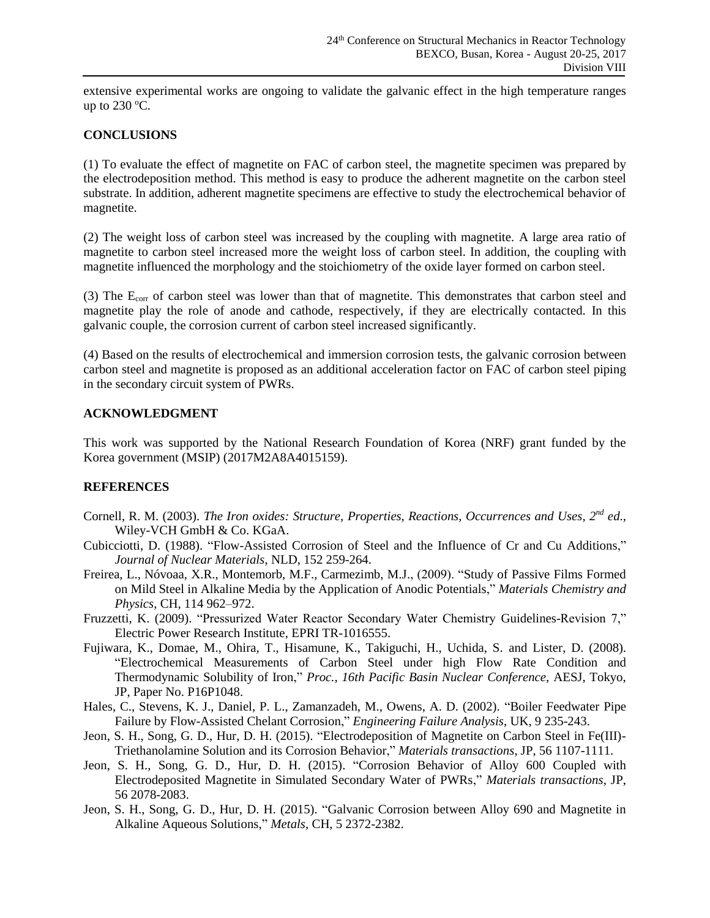extensive experimental works are ongoing to validate the galvanic effect in the high temperature ranges up to  $230$  °C.

### **CONCLUSIONS**

(1) To evaluate the effect of magnetite on FAC of carbon steel, the magnetite specimen was prepared by the electrodeposition method. This method is easy to produce the adherent magnetite on the carbon steel substrate. In addition, adherent magnetite specimens are effective to study the electrochemical behavior of magnetite.

(2) The weight loss of carbon steel was increased by the coupling with magnetite. A large area ratio of magnetite to carbon steel increased more the weight loss of carbon steel. In addition, the coupling with magnetite influenced the morphology and the stoichiometry of the oxide layer formed on carbon steel.

(3) The Ecorr of carbon steel was lower than that of magnetite. This demonstrates that carbon steel and magnetite play the role of anode and cathode, respectively, if they are electrically contacted. In this galvanic couple, the corrosion current of carbon steel increased significantly.

(4) Based on the results of electrochemical and immersion corrosion tests, the galvanic corrosion between carbon steel and magnetite is proposed as an additional acceleration factor on FAC of carbon steel piping in the secondary circuit system of PWRs.

### **ACKNOWLEDGMENT**

This work was supported by the National Research Foundation of Korea (NRF) grant funded by the Korea government (MSIP) (2017M2A8A4015159).

### **REFERENCES**

- Cornell, R. M. (2003). *The Iron oxides: Structure, Properties, Reactions, Occurrences and Uses, 2nd ed*., Wiley-VCH GmbH & Co. KGaA.
- Cubicciotti, D. (1988). "Flow-Assisted Corrosion of Steel and the Influence of Cr and Cu Additions," *Journal of Nuclear Materials*, NLD, 152 259-264.
- Freirea, L., Nóvoaa, X.R., Montemorb, M.F., Carmezimb, M.J., (2009). "Study of Passive Films Formed on Mild Steel in Alkaline Media by the Application of Anodic Potentials," *Materials Chemistry and Physics*, CH, 114 962–972.
- Fruzzetti, K. (2009). "Pressurized Water Reactor Secondary Water Chemistry Guidelines-Revision 7," Electric Power Research Institute, EPRI TR-1016555.
- Fujiwara, K., Domae, M., Ohira, T., Hisamune, K., Takiguchi, H., Uchida, S. and Lister, D. (2008). "Electrochemical Measurements of Carbon Steel under high Flow Rate Condition and Thermodynamic Solubility of Iron," *Proc., 16th Pacific Basin Nuclear Conference*, AESJ, Tokyo, JP, Paper No. P16P1048.
- Hales, C., Stevens, K. J., Daniel, P. L., Zamanzadeh, M., Owens, A. D. (2002). "Boiler Feedwater Pipe Failure by Flow-Assisted Chelant Corrosion," *Engineering Failure Analysis*, UK, 9 235-243.
- Jeon, S. H., Song, G. D., Hur, D. H. (2015). "Electrodeposition of Magnetite on Carbon Steel in Fe(III)- Triethanolamine Solution and its Corrosion Behavior," *Materials transactions*, JP, 56 1107-1111.
- Jeon, S. H., Song, G. D., Hur, D. H. (2015). "Corrosion Behavior of Alloy 600 Coupled with Electrodeposited Magnetite in Simulated Secondary Water of PWRs," *Materials transactions*, JP, 56 2078-2083.
- Jeon, S. H., Song, G. D., Hur, D. H. (2015). "Galvanic Corrosion between Alloy 690 and Magnetite in Alkaline Aqueous Solutions," *Metals*, CH, 5 2372-2382.